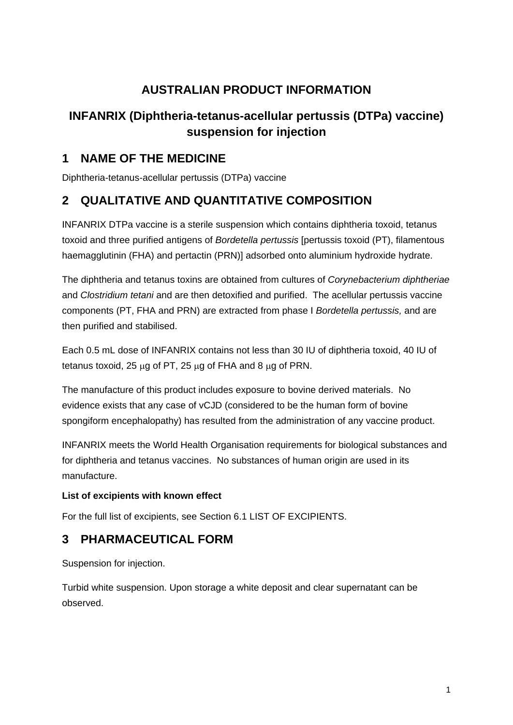# **AUSTRALIAN PRODUCT INFORMATION**

# **INFANRIX (Diphtheria-tetanus-acellular pertussis (DTPa) vaccine) suspension for injection**

# **1 NAME OF THE MEDICINE**

Diphtheria-tetanus-acellular pertussis (DTPa) vaccine

# **2 QUALITATIVE AND QUANTITATIVE COMPOSITION**

INFANRIX DTPa vaccine is a sterile suspension which contains diphtheria toxoid, tetanus toxoid and three purified antigens of *Bordetella pertussis* [pertussis toxoid (PT), filamentous haemagglutinin (FHA) and pertactin (PRN)] adsorbed onto aluminium hydroxide hydrate.

The diphtheria and tetanus toxins are obtained from cultures of *Corynebacterium diphtheriae* and *Clostridium tetani* and are then detoxified and purified. The acellular pertussis vaccine components (PT, FHA and PRN) are extracted from phase I *Bordetella pertussis,* and are then purified and stabilised.

Each 0.5 mL dose of INFANRIX contains not less than 30 IU of diphtheria toxoid, 40 IU of tetanus toxoid, 25  $\mu$ g of PT, 25  $\mu$ g of FHA and 8  $\mu$ g of PRN.

The manufacture of this product includes exposure to bovine derived materials. No evidence exists that any case of vCJD (considered to be the human form of bovine spongiform encephalopathy) has resulted from the administration of any vaccine product.

INFANRIX meets the World Health Organisation requirements for biological substances and for diphtheria and tetanus vaccines. No substances of human origin are used in its manufacture.

## **List of excipients with known effect**

For the full list of excipients, see Section 6.1 LIST OF EXCIPIENTS.

# **3 PHARMACEUTICAL FORM**

Suspension for injection.

Turbid white suspension. Upon storage a white deposit and clear supernatant can be observed.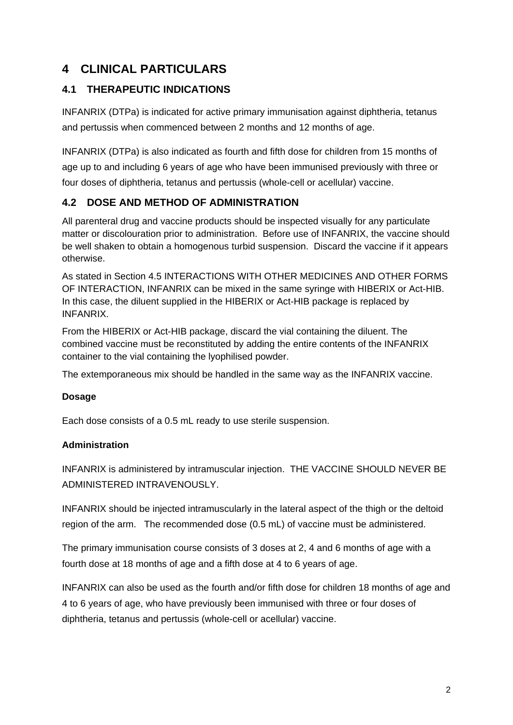# **4 CLINICAL PARTICULARS**

# **4.1 THERAPEUTIC INDICATIONS**

INFANRIX (DTPa) is indicated for active primary immunisation against diphtheria, tetanus and pertussis when commenced between 2 months and 12 months of age.

INFANRIX (DTPa) is also indicated as fourth and fifth dose for children from 15 months of age up to and including 6 years of age who have been immunised previously with three or four doses of diphtheria, tetanus and pertussis (whole-cell or acellular) vaccine.

# **4.2 DOSE AND METHOD OF ADMINISTRATION**

All parenteral drug and vaccine products should be inspected visually for any particulate matter or discolouration prior to administration. Before use of INFANRIX, the vaccine should be well shaken to obtain a homogenous turbid suspension. Discard the vaccine if it appears otherwise.

As stated in Section 4.5 INTERACTIONS WITH OTHER MEDICINES AND OTHER FORMS OF INTERACTION, INFANRIX can be mixed in the same syringe with HIBERIX or Act-HIB. In this case, the diluent supplied in the HIBERIX or Act-HIB package is replaced by INFANRIX.

From the HIBERIX or Act-HIB package, discard the vial containing the diluent. The combined vaccine must be reconstituted by adding the entire contents of the INFANRIX container to the vial containing the lyophilised powder.

The extemporaneous mix should be handled in the same way as the INFANRIX vaccine.

### **Dosage**

Each dose consists of a 0.5 mL ready to use sterile suspension.

### **Administration**

INFANRIX is administered by intramuscular injection. THE VACCINE SHOULD NEVER BE ADMINISTERED INTRAVENOUSLY.

INFANRIX should be injected intramuscularly in the lateral aspect of the thigh or the deltoid region of the arm. The recommended dose (0.5 mL) of vaccine must be administered.

The primary immunisation course consists of 3 doses at 2, 4 and 6 months of age with a fourth dose at 18 months of age and a fifth dose at 4 to 6 years of age.

INFANRIX can also be used as the fourth and/or fifth dose for children 18 months of age and 4 to 6 years of age, who have previously been immunised with three or four doses of diphtheria, tetanus and pertussis (whole-cell or acellular) vaccine.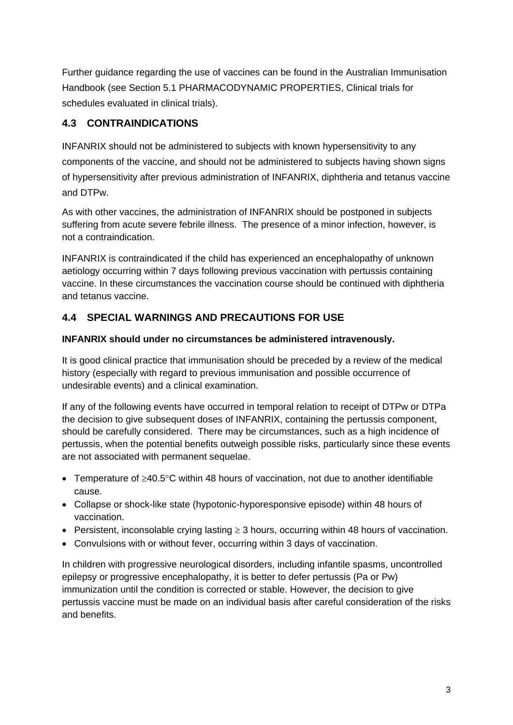Further guidance regarding the use of vaccines can be found in the Australian Immunisation Handbook (see Section 5.1 PHARMACODYNAMIC PROPERTIES, Clinical trials for schedules evaluated in clinical trials).

# **4.3 CONTRAINDICATIONS**

INFANRIX should not be administered to subjects with known hypersensitivity to any components of the vaccine, and should not be administered to subjects having shown signs of hypersensitivity after previous administration of INFANRIX, diphtheria and tetanus vaccine and DTPw.

As with other vaccines, the administration of INFANRIX should be postponed in subjects suffering from acute severe febrile illness. The presence of a minor infection, however, is not a contraindication.

INFANRIX is contraindicated if the child has experienced an encephalopathy of unknown aetiology occurring within 7 days following previous vaccination with pertussis containing vaccine. In these circumstances the vaccination course should be continued with diphtheria and tetanus vaccine.

# **4.4 SPECIAL WARNINGS AND PRECAUTIONS FOR USE**

## **INFANRIX should under no circumstances be administered intravenously.**

It is good clinical practice that immunisation should be preceded by a review of the medical history (especially with regard to previous immunisation and possible occurrence of undesirable events) and a clinical examination.

If any of the following events have occurred in temporal relation to receipt of DTPw or DTPa the decision to give subsequent doses of INFANRIX, containing the pertussis component, should be carefully considered. There may be circumstances, such as a high incidence of pertussis, when the potential benefits outweigh possible risks, particularly since these events are not associated with permanent sequelae.

- Temperature of ≥40.5°C within 48 hours of vaccination, not due to another identifiable cause.
- Collapse or shock-like state (hypotonic-hyporesponsive episode) within 48 hours of vaccination.
- Persistent, inconsolable crying lasting ≥ 3 hours, occurring within 48 hours of vaccination.
- Convulsions with or without fever, occurring within 3 days of vaccination.

In children with progressive neurological disorders, including infantile spasms, uncontrolled epilepsy or progressive encephalopathy, it is better to defer pertussis (Pa or Pw) immunization until the condition is corrected or stable. However, the decision to give pertussis vaccine must be made on an individual basis after careful consideration of the risks and benefits.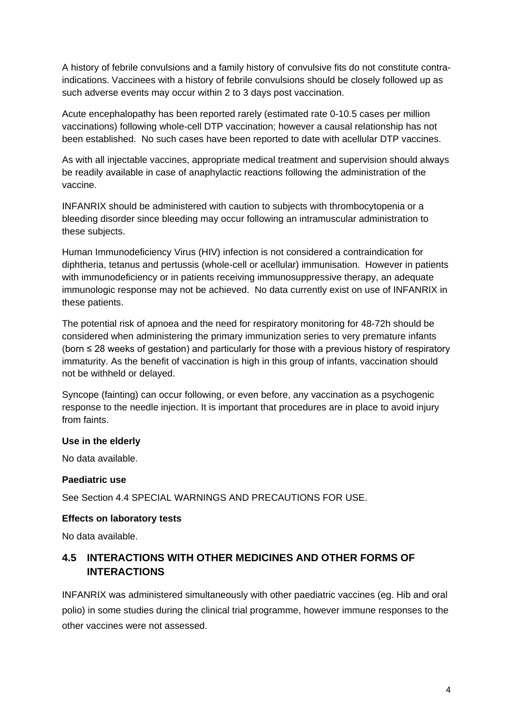A history of febrile convulsions and a family history of convulsive fits do not constitute contraindications. Vaccinees with a history of febrile convulsions should be closely followed up as such adverse events may occur within 2 to 3 days post vaccination.

Acute encephalopathy has been reported rarely (estimated rate 0-10.5 cases per million vaccinations) following whole-cell DTP vaccination; however a causal relationship has not been established. No such cases have been reported to date with acellular DTP vaccines.

As with all injectable vaccines, appropriate medical treatment and supervision should always be readily available in case of anaphylactic reactions following the administration of the vaccine.

INFANRIX should be administered with caution to subjects with thrombocytopenia or a bleeding disorder since bleeding may occur following an intramuscular administration to these subjects.

Human Immunodeficiency Virus (HIV) infection is not considered a contraindication for diphtheria, tetanus and pertussis (whole-cell or acellular) immunisation. However in patients with immunodeficiency or in patients receiving immunosuppressive therapy, an adequate immunologic response may not be achieved. No data currently exist on use of INFANRIX in these patients.

The potential risk of apnoea and the need for respiratory monitoring for 48-72h should be considered when administering the primary immunization series to very premature infants (born ≤ 28 weeks of gestation) and particularly for those with a previous history of respiratory immaturity. As the benefit of vaccination is high in this group of infants, vaccination should not be withheld or delayed.

Syncope (fainting) can occur following, or even before, any vaccination as a psychogenic response to the needle injection. It is important that procedures are in place to avoid injury from faints.

### **Use in the elderly**

No data available.

#### **Paediatric use**

See Section 4.4 SPECIAL WARNINGS AND PRECAUTIONS FOR USE.

#### **Effects on laboratory tests**

No data available.

## **4.5 INTERACTIONS WITH OTHER MEDICINES AND OTHER FORMS OF INTERACTIONS**

INFANRIX was administered simultaneously with other paediatric vaccines (eg. Hib and oral polio) in some studies during the clinical trial programme, however immune responses to the other vaccines were not assessed.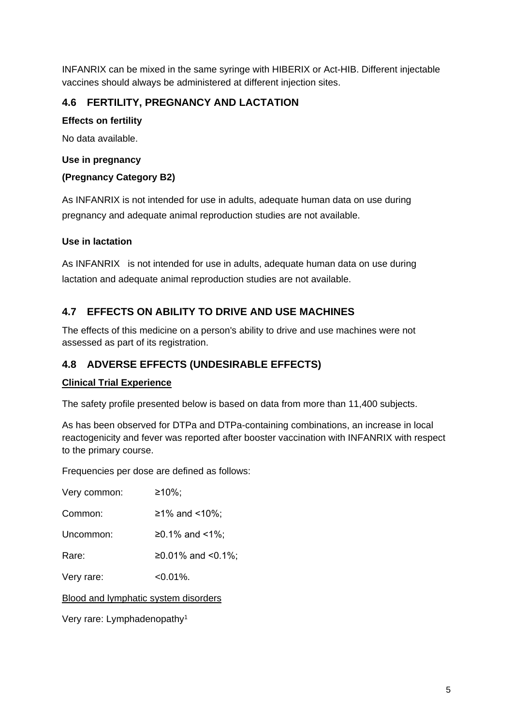INFANRIX can be mixed in the same syringe with HIBERIX or Act-HIB. Different injectable vaccines should always be administered at different injection sites.

## **4.6 FERTILITY, PREGNANCY AND LACTATION**

### **Effects on fertility**

No data available.

### **Use in pregnancy**

### **(Pregnancy Category B2)**

As INFANRIX is not intended for use in adults, adequate human data on use during pregnancy and adequate animal reproduction studies are not available.

### **Use in lactation**

As INFANRIX is not intended for use in adults, adequate human data on use during lactation and adequate animal reproduction studies are not available.

## **4.7 EFFECTS ON ABILITY TO DRIVE AND USE MACHINES**

The effects of this medicine on a person's ability to drive and use machines were not assessed as part of its registration.

## **4.8 ADVERSE EFFECTS (UNDESIRABLE EFFECTS)**

### **Clinical Trial Experience**

The safety profile presented below is based on data from more than 11,400 subjects.

As has been observed for DTPa and DTPa-containing combinations, an increase in local reactogenicity and fever was reported after booster vaccination with INFANRIX with respect to the primary course.

Frequencies per dose are defined as follows:

| Very common:                                | $≥10\%$ ;         |
|---------------------------------------------|-------------------|
| Common:                                     | ≥1% and <10%;     |
| Uncommon:                                   | ≥0.1% and <1%;    |
| Rare:                                       | ≥0.01% and <0.1%; |
| Very rare:                                  | $< 0.01\%$ .      |
| <b>Blood and lymphatic system disorders</b> |                   |
| Very rare: Lymphadenopathy <sup>1</sup>     |                   |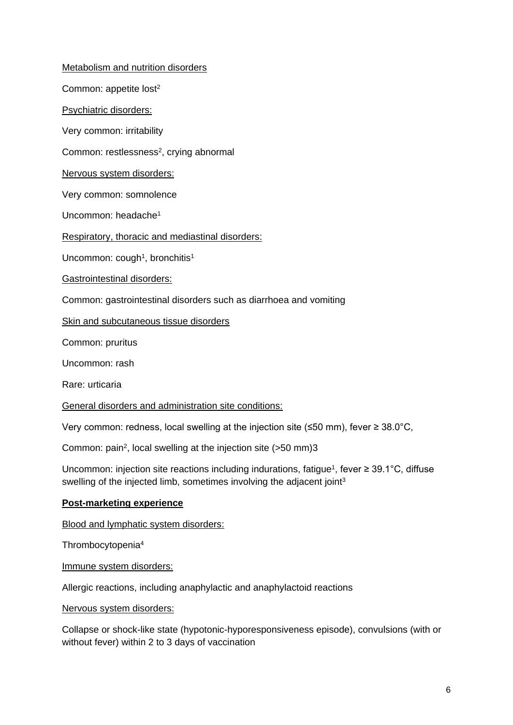Metabolism and nutrition disorders Common: appetite lost<sup>2</sup> Psychiatric disorders: Very common: irritability Common: restlessness<sup>2</sup>, crying abnormal

Nervous system disorders:

Very common: somnolence

Uncommon: headache1

Respiratory, thoracic and mediastinal disorders:

Uncommon: cough<sup>1</sup>, bronchitis<sup>1</sup>

Gastrointestinal disorders:

Common: gastrointestinal disorders such as diarrhoea and vomiting

Skin and subcutaneous tissue disorders

Common: pruritus

Uncommon: rash

Rare: urticaria

General disorders and administration site conditions:

Very common: redness, local swelling at the injection site (≤50 mm), fever ≥ 38.0°C,

Common: pain2, local swelling at the injection site (>50 mm)3

Uncommon: injection site reactions including indurations, fatigue<sup>1</sup>, fever  $\geq 39.1^{\circ}$ C, diffuse swelling of the injected limb, sometimes involving the adjacent joint<sup>3</sup>

#### **Post-marketing experience**

Blood and lymphatic system disorders:

Thrombocytopenia4

Immune system disorders:

Allergic reactions, including anaphylactic and anaphylactoid reactions

Nervous system disorders:

Collapse or shock-like state (hypotonic-hyporesponsiveness episode), convulsions (with or without fever) within 2 to 3 days of vaccination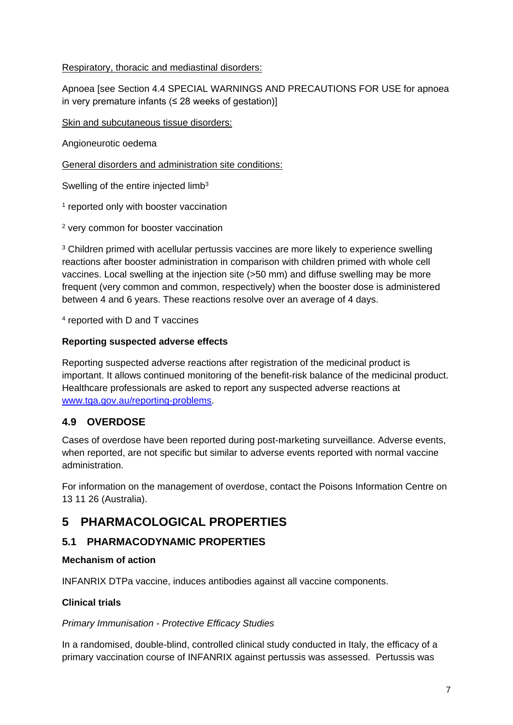### Respiratory, thoracic and mediastinal disorders:

Apnoea [see Section 4.4 SPECIAL WARNINGS AND PRECAUTIONS FOR USE for apnoea in very premature infants ( $\leq$  28 weeks of gestation)]

Skin and subcutaneous tissue disorders:

Angioneurotic oedema

General disorders and administration site conditions:

Swelling of the entire injected limb<sup>3</sup>

<sup>1</sup> reported only with booster vaccination

<sup>2</sup> very common for booster vaccination

<sup>3</sup> Children primed with acellular pertussis vaccines are more likely to experience swelling reactions after booster administration in comparison with children primed with whole cell vaccines. Local swelling at the injection site (>50 mm) and diffuse swelling may be more frequent (very common and common, respectively) when the booster dose is administered between 4 and 6 years. These reactions resolve over an average of 4 days.

<sup>4</sup> reported with D and T vaccines

### **Reporting suspected adverse effects**

Reporting suspected adverse reactions after registration of the medicinal product is important. It allows continued monitoring of the benefit-risk balance of the medicinal product. Healthcare professionals are asked to report any suspected adverse reactions at [www.tga.gov.au/reporting-problems.](http://www.tga.gov.au/reporting-problems)

## **4.9 OVERDOSE**

Cases of overdose have been reported during post-marketing surveillance. Adverse events, when reported, are not specific but similar to adverse events reported with normal vaccine administration.

For information on the management of overdose, contact the Poisons Information Centre on 13 11 26 (Australia).

# **5 PHARMACOLOGICAL PROPERTIES**

## **5.1 PHARMACODYNAMIC PROPERTIES**

### **Mechanism of action**

INFANRIX DTPa vaccine, induces antibodies against all vaccine components.

### **Clinical trials**

#### *Primary Immunisation - Protective Efficacy Studies*

In a randomised, double-blind, controlled clinical study conducted in Italy, the efficacy of a primary vaccination course of INFANRIX against pertussis was assessed. Pertussis was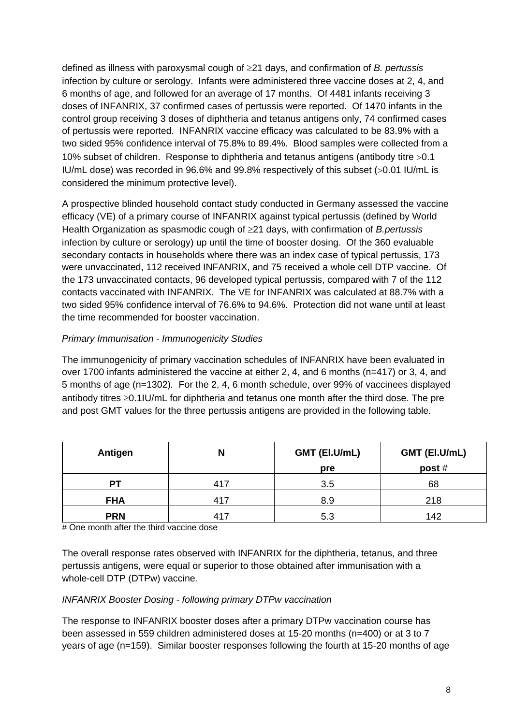defined as illness with paroxysmal cough of ≥21 days, and confirmation of *B. pertussis* infection by culture or serology. Infants were administered three vaccine doses at 2, 4, and 6 months of age, and followed for an average of 17 months. Of 4481 infants receiving 3 doses of INFANRIX, 37 confirmed cases of pertussis were reported. Of 1470 infants in the control group receiving 3 doses of diphtheria and tetanus antigens only, 74 confirmed cases of pertussis were reported. INFANRIX vaccine efficacy was calculated to be 83.9% with a two sided 95% confidence interval of 75.8% to 89.4%. Blood samples were collected from a 10% subset of children. Response to diphtheria and tetanus antigens (antibody titre >0.1 IU/mL dose) was recorded in 96.6% and 99.8% respectively of this subset (>0.01 IU/mL is considered the minimum protective level).

A prospective blinded household contact study conducted in Germany assessed the vaccine efficacy (VE) of a primary course of INFANRIX against typical pertussis (defined by World Health Organization as spasmodic cough of ≥21 days, with confirmation of *B.pertussis* infection by culture or serology) up until the time of booster dosing. Of the 360 evaluable secondary contacts in households where there was an index case of typical pertussis, 173 were unvaccinated, 112 received INFANRIX, and 75 received a whole cell DTP vaccine. Of the 173 unvaccinated contacts, 96 developed typical pertussis, compared with 7 of the 112 contacts vaccinated with INFANRIX. The VE for INFANRIX was calculated at 88.7% with a two sided 95% confidence interval of 76.6% to 94.6%. Protection did not wane until at least the time recommended for booster vaccination.

### *Primary Immunisation - Immunogenicity Studies*

The immunogenicity of primary vaccination schedules of INFANRIX have been evaluated in over 1700 infants administered the vaccine at either 2, 4, and 6 months (n=417) or 3, 4, and 5 months of age (n=1302)*.* For the 2, 4, 6 month schedule, over 99% of vaccinees displayed antibody titres ≥0.1IU/mL for diphtheria and tetanus one month after the third dose. The pre and post GMT values for the three pertussis antigens are provided in the following table.

| Antigen    | N   | GMT (EI.U/mL) | GMT (EI.U/mL) |
|------------|-----|---------------|---------------|
|            |     | pre           | post $#$      |
| PТ         | 417 | 3.5           | 68            |
| <b>FHA</b> | 417 | 8.9           | 218           |
| <b>PRN</b> | 417 | 5.3           | 142           |

# One month after the third vaccine dose

The overall response rates observed with INFANRIX for the diphtheria, tetanus, and three pertussis antigens, were equal or superior to those obtained after immunisation with a whole-cell DTP (DTPw) vaccine*.*

#### *INFANRIX Booster Dosing - following primary DTPw vaccination*

The response to INFANRIX booster doses after a primary DTPw vaccination course has been assessed in 559 children administered doses at 15-20 months (n=400) or at 3 to 7 years of age (n=159). Similar booster responses following the fourth at 15-20 months of age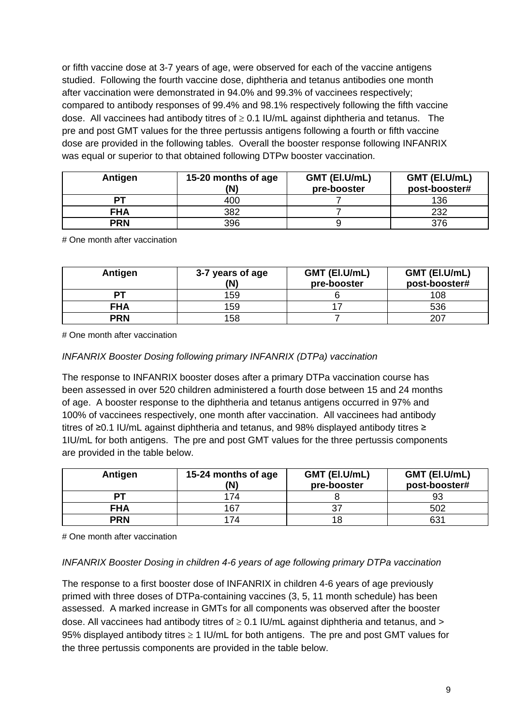or fifth vaccine dose at 3-7 years of age, were observed for each of the vaccine antigens studied.Following the fourth vaccine dose, diphtheria and tetanus antibodies one month after vaccination were demonstrated in 94.0% and 99.3% of vaccinees respectively; compared to antibody responses of 99.4% and 98.1% respectively following the fifth vaccine dose. All vaccinees had antibody titres of  $\geq$  0.1 IU/mL against diphtheria and tetanus. The pre and post GMT values for the three pertussis antigens following a fourth or fifth vaccine dose are provided in the following tables. Overall the booster response following INFANRIX was equal or superior to that obtained following DTPw booster vaccination.

| Antigen    | 15-20 months of age<br>(N) | GMT (EI.U/mL)<br>pre-booster | GMT (EI.U/mL)<br>post-booster# |
|------------|----------------------------|------------------------------|--------------------------------|
| DТ         | 400                        |                              | 136                            |
| <b>FHA</b> | 382                        |                              | 232                            |
| <b>PRN</b> | 396                        |                              | 376                            |

# One month after vaccination

| Antigen    | 3-7 years of age<br>(N) | GMT (EI.U/mL)<br>pre-booster | GMT (EI.U/mL)<br>post-booster# |
|------------|-------------------------|------------------------------|--------------------------------|
| PТ         | 159                     |                              | 108                            |
| <b>FHA</b> | 159                     |                              | 536                            |
| <b>PRN</b> | 158                     |                              | 207                            |

# One month after vaccination

#### *INFANRIX Booster Dosing following primary INFANRIX (DTPa) vaccination*

The response to INFANRIX booster doses after a primary DTPa vaccination course has been assessed in over 520 children administered a fourth dose between 15 and 24 months of age. A booster response to the diphtheria and tetanus antigens occurred in 97% and 100% of vaccinees respectively, one month after vaccination. All vaccinees had antibody titres of ≥0.1 IU/mL against diphtheria and tetanus, and 98% displayed antibody titres ≥ 1IU/mL for both antigens. The pre and post GMT values for the three pertussis components are provided in the table below.

| Antigen    | 15-24 months of age<br>(N) | GMT (EI.U/mL)<br>pre-booster | GMT (EI.U/mL)<br>post-booster# |
|------------|----------------------------|------------------------------|--------------------------------|
| PТ         | 174                        |                              | 93                             |
| <b>FHA</b> | 167                        | 37                           | 502                            |
| <b>PRN</b> | 174                        | 18                           | 631                            |

# One month after vaccination

#### *INFANRIX Booster Dosing in children 4-6 years of age following primary DTPa vaccination*

The response to a first booster dose of INFANRIX in children 4-6 years of age previously primed with three doses of DTPa-containing vaccines (3, 5, 11 month schedule) has been assessed. A marked increase in GMTs for all components was observed after the booster dose. All vaccinees had antibody titres of  $\geq$  0.1 IU/mL against diphtheria and tetanus, and  $>$ 95% displayed antibody titres ≥ 1 IU/mL for both antigens. The pre and post GMT values for the three pertussis components are provided in the table below.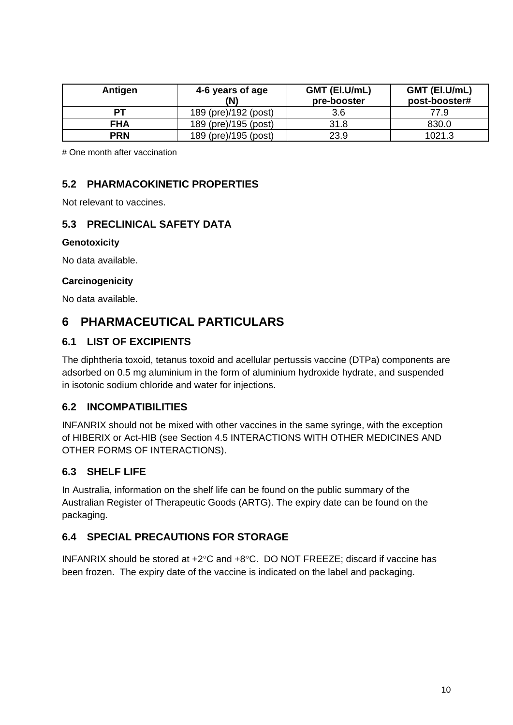| Antigen    | 4-6 years of age<br>(N) | GMT (EI.U/mL)<br>pre-booster | GMT (EI.U/mL)<br>post-booster# |
|------------|-------------------------|------------------------------|--------------------------------|
| PТ         | 189 (pre)/192 (post)    | 3.6                          | 77.9                           |
| <b>FHA</b> | 189 (pre)/195 (post)    | 31.8                         | 830.0                          |
| <b>PRN</b> | 189 (pre)/195 (post)    | 23.9                         | 1021.3                         |

# One month after vaccination

## **5.2 PHARMACOKINETIC PROPERTIES**

Not relevant to vaccines.

# **5.3 PRECLINICAL SAFETY DATA**

#### **Genotoxicity**

No data available.

#### **Carcinogenicity**

No data available.

# **6 PHARMACEUTICAL PARTICULARS**

### **6.1 LIST OF EXCIPIENTS**

The diphtheria toxoid, tetanus toxoid and acellular pertussis vaccine (DTPa) components are adsorbed on 0.5 mg aluminium in the form of aluminium hydroxide hydrate, and suspended in isotonic sodium chloride and water for injections.

### **6.2 INCOMPATIBILITIES**

INFANRIX should not be mixed with other vaccines in the same syringe, with the exception of HIBERIX or Act-HIB (see Section 4.5 INTERACTIONS WITH OTHER MEDICINES AND OTHER FORMS OF INTERACTIONS).

### **6.3 SHELF LIFE**

In Australia, information on the shelf life can be found on the public summary of the Australian Register of Therapeutic Goods (ARTG). The expiry date can be found on the packaging.

## **6.4 SPECIAL PRECAUTIONS FOR STORAGE**

INFANRIX should be stored at +2°C and +8°C. DO NOT FREEZE; discard if vaccine has been frozen. The expiry date of the vaccine is indicated on the label and packaging.